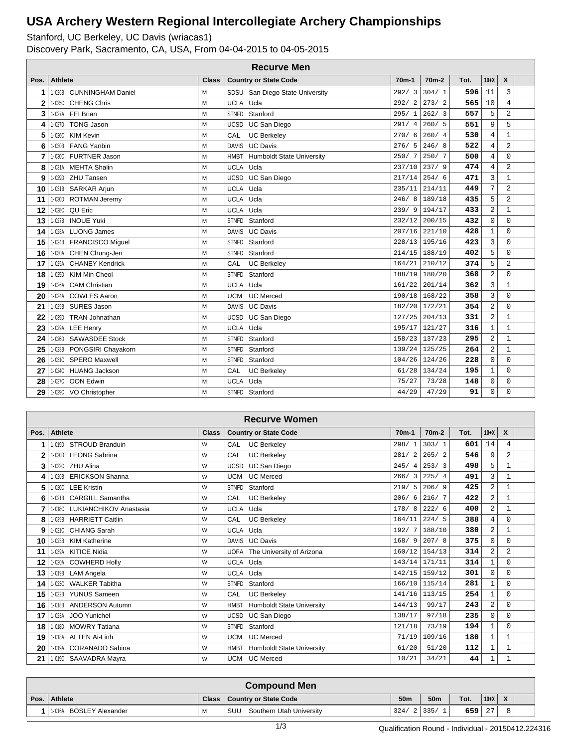Stanford, UC Berkeley, UC Davis (wriacas1)

Discovery Park, Sacramento, CA, USA, From 04-04-2015 to 04-05-2015

| <b>Recurve Men</b> |            |                          |              |              |                                  |                    |                    |      |                |                  |  |
|--------------------|------------|--------------------------|--------------|--------------|----------------------------------|--------------------|--------------------|------|----------------|------------------|--|
| Pos.               | Athlete    |                          | <b>Class</b> |              | <b>Country or State Code</b>     | 70 <sub>m</sub> -1 | 70 <sub>m</sub> -2 | Tot. | $10+X$         | $\boldsymbol{x}$ |  |
| 1                  |            | 1-026B CUNNINGHAM Daniel | M            |              | SDSU San Diego State University  | 292/3              | 304/1              | 596  | 11             | 3                |  |
| $\mathbf{2}$       | $1 - 025C$ | <b>CHENG Chris</b>       | M            | <b>UCLA</b>  | Ucla                             | 292/2              | 273/2              | 565  | 10             | $\overline{4}$   |  |
| 3                  |            | 1-027A FEI Brian         | М            | <b>STNFD</b> | Stanford                         | 295/1              | 262/3              | 557  | 5              | $\overline{c}$   |  |
| 4                  | 1-027D     | <b>TONG Jason</b>        | M            | <b>UCSD</b>  | UC San Diego                     | 291/4              | 260/5              | 551  | 9              | 5                |  |
| 5                  | $1 - 026C$ | <b>KIM Kevin</b>         | М            | CAL          | <b>UC Berkeley</b>               | 270/<br>6          | 260/4              | 530  | $\overline{4}$ | $\mathbf{1}$     |  |
| 6                  |            | 1-030B FANG Yanbin       | M            | <b>DAVIS</b> | <b>UC Davis</b>                  | 276/5              | 246/8              | 522  | $\overline{4}$ | $\overline{2}$   |  |
| $\overline{7}$     |            | 1-030C FURTNER Jason     | M            | <b>HMBT</b>  | <b>Humboldt State University</b> | 250/7              | 250/7              | 500  | $\overline{4}$ | $\Omega$         |  |
| 8                  |            | 1-031A MEHTA Shalin      | M            | <b>UCLA</b>  | Ucla                             | 237/10             | 237/9              | 474  | $\overline{4}$ | $\overline{a}$   |  |
| 9                  | $1 - 029D$ | <b>ZHU Tansen</b>        | M            | UCSD         | UC San Diego                     | 217/14             | 254/6              | 471  | 3              | $\mathbf{1}$     |  |
| 10                 |            | 1-031B SARKAR Arjun      | M            | UCLA Ucla    |                                  | 235/11             | 214/11             | 449  | 7              | 2                |  |
| 11                 | 1-030D     | <b>ROTMAN Jeremy</b>     | M            | UCLA Ucla    |                                  |                    | $246/8$ 189/18     | 435  | 5              | $\overline{a}$   |  |
| 12                 | 1-028C     | QU Eric                  | М            | UCLA Ucla    |                                  | 239/9              | 194/17             | 433  | $\overline{2}$ | $\mathbf{1}$     |  |
| 13                 | 1-027B     | <b>INOUE Yuki</b>        | M            | <b>STNFD</b> | Stanford                         | 232/12             | 200/15             | 432  | $\Omega$       | 0                |  |
| 14                 |            | 1-028A LUONG James       | M            | <b>DAVIS</b> | <b>UC Davis</b>                  | $207/16$ 221/10    |                    | 428  | $\mathbf{1}$   | $\Omega$         |  |
| 15                 |            | 1-024B FRANCISCO Miguel  | M            |              | STNFD Stanford                   | 228/13             | 195/16             | 423  | $\overline{3}$ | $\mathbf 0$      |  |
| 16                 |            | 1-030A CHEN Chung-Jen    | M            | <b>STNFD</b> | Stanford                         |                    | $214/15$ 188/19    | 402  | 5              | $\mathbf 0$      |  |
| 17                 |            | 1-025A CHANEY Kendrick   | M            | CAL          | <b>UC Berkelev</b>               | 164/21             | 210/12             | 374  | 5              | $\overline{2}$   |  |
| 18                 | $1 - 025D$ | KIM Min Cheol            | M            | <b>STNFD</b> | Stanford                         |                    | 188/19 180/20      | 368  | $\overline{a}$ | $\Omega$         |  |
| 19                 | 1-026A     | <b>CAM Christian</b>     | М            | <b>UCLA</b>  | Ucla                             | $161/22$ 201/14    |                    | 362  | 3              | $\mathbf{1}$     |  |
| 20                 |            | 1-024A COWLES Aaron      | M            | <b>UCM</b>   | <b>UC</b> Merced                 | 190/18 168/22      |                    | 358  | 3              | $\overline{0}$   |  |
| 21                 |            | 1-029B SURES Jason       | M            |              | DAVIS UC Davis                   | 182/20 172/21      |                    | 354  | $\overline{a}$ | $\mathbf 0$      |  |
| 22                 | 1-039D     | <b>TRAN Johnathan</b>    | M            | <b>UCSD</b>  | UC San Diego                     | 127/25             | 204/13             | 331  | $\overline{a}$ | $\mathbf{1}$     |  |
| 23                 |            | 1-029A LEE Henry         | M            | UCLA Ucla    |                                  | 195/17             | 121/27             | 316  | 1              | 1                |  |
| 24                 |            | 1-026D SAWASDEE Stock    | M            | <b>STNFD</b> | Stanford                         |                    | 158/23 137/23      | 295  | $\overline{a}$ | $\mathbf{1}$     |  |
| 25                 | 1-028B     | PONGSIRI Chayakorn       | M            | <b>STNFD</b> | Stanford                         |                    | 139/24 125/25      | 264  | $\overline{2}$ | $\mathbf{1}$     |  |
| 26                 |            | 1-031C SPERO Maxwell     | M            | <b>STNFD</b> | Stanford                         |                    | $104/26$ 124/26    | 228  | 0              | $\mathbf 0$      |  |
| 27                 |            | 1-024C HUANG Jackson     | M            | CAL          | <b>UC Berkeley</b>               |                    | $61/28$ 134/24     | 195  | $\mathbf{1}$   | $\mathbf 0$      |  |
| 28                 |            | 1-027C OON Edwin         | М            | <b>UCLA</b>  | Ucla                             | 75/27              | 73/28              | 148  | $\mathbf 0$    | $\mathbf 0$      |  |
| 29                 |            | 1-029C VO Christopher    | M            |              | STNFD Stanford                   | 44/29              | 47/29              | 91   | $\Omega$       | $\Omega$         |  |

|              | <b>Recurve Women</b> |                               |              |              |                                       |           |                    |      |                |                           |  |
|--------------|----------------------|-------------------------------|--------------|--------------|---------------------------------------|-----------|--------------------|------|----------------|---------------------------|--|
| Pos.         | Athlete              |                               | <b>Class</b> |              | <b>Country or State Code</b>          | $70m-1$   | 70 <sub>m</sub> -2 | Tot. | $10+X$         | $\boldsymbol{\mathsf{x}}$ |  |
| 1            |                      | 1-019D STROUD Branduin        | W            | CAL          | <b>UC Berkeley</b>                    | 298/1     | 303/1              | 601  | 14             | 4                         |  |
| $\mathbf{2}$ |                      | 1-020D LEONG Sabrina          | W            | CAL          | <b>UC Berkeley</b>                    | 281/<br>2 | 265/2              | 546  | 9              | $\overline{2}$            |  |
| 3            |                      | 1-022C ZHU Alina              | W            | <b>UCSD</b>  | UC San Diego                          | 245/4     | 253/3              | 498  | 5              | $\mathbf{1}$              |  |
| 4            |                      | 1-020B ERICKSON Shanna        | W            | <b>UCM</b>   | <b>UC</b> Merced                      | 266/3     | 225/4              | 491  | 3              | 1                         |  |
| 5            | 1-020C               | <b>LEE Kristin</b>            | W            | <b>STNFD</b> | Stanford                              | 219/5     | 206/9              | 425  | $\overline{c}$ | 1                         |  |
| 6            |                      | 1-021B CARGILL Samantha       | W            | CAL          | <b>UC Berkeley</b>                    | 206/6     | 216/7              | 422  | $\overline{2}$ | 1                         |  |
| 7            |                      | 1-018C LUKIANCHIKOV Anastasia | W            |              | UCLA Ucla                             | 178/8     | 222/6              | 400  | $\mathbf{2}$   | 1                         |  |
| 8            |                      | 1-039B HARRIETT Caitlin       | W            | CAL          | <b>UC Berkeley</b>                    | 164/11    | 224/5              | 388  | 4              | $\Omega$                  |  |
| 9            |                      | 1-021C CHIANG Sarah           | W            | UCLA Ucla    |                                       | 192/7     | 188/10             | 380  | $\overline{2}$ | $\mathbf{1}$              |  |
| 10           | 1-023B               | <b>KIM Katherine</b>          | W            |              | DAVIS UC Davis                        | 168/9     | 207/8              | 375  | $\Omega$       | $\Omega$                  |  |
| 11           |                      | 1-039A KITICE Nidia           | W            |              | UOFA The University of Arizona        | 160/12    | 154/13             | 314  | $\overline{a}$ | $\overline{a}$            |  |
| 12           |                      | 1-020A COWHERD Holly          | W            | UCLA Ucla    |                                       | 143/14    | 171/11             | 314  | $\mathbf{1}$   | $\mathbf 0$               |  |
| 13           | 1-019B               | <b>LAM Angela</b>             | W            |              | UCLA Ucla                             |           | $142/15$ 159/12    | 301  | $\Omega$       | $\Omega$                  |  |
| 14           | 1-023C               | <b>WALKER Tabitha</b>         | W            | <b>STNFD</b> | Stanford                              | 166/10    | 115/14             | 281  | $\mathbf{1}$   | $\Omega$                  |  |
| 15           | 1-022B               | <b>YUNUS Sameen</b>           | W            | CAL          | <b>UC Berkeley</b>                    | 141/16    | 113/15             | 254  | $\mathbf{1}$   | $\Omega$                  |  |
| 16           |                      | 1-018B ANDERSON Autumn        | W            |              | HMBT Humboldt State University        | 144/13    | 99/17              | 243  | $\overline{2}$ | $\Omega$                  |  |
| 17           | 1-023A               | JOO Yunichel                  | W            | <b>UCSD</b>  | UC San Diego                          | 138/17    | 97/18              | 235  | $\Omega$       | $\Omega$                  |  |
| 18           |                      | 1-018D MOWRY Tatiana          | W            | <b>STNFD</b> | Stanford                              | 121/18    | 73/19              | 194  | $\mathbf{1}$   | $\Omega$                  |  |
| 19           |                      | 1-018A ALTEN Ai-Linh          | W            | <b>UCM</b>   | <b>UC Merced</b>                      | 71/19     | 109/16             | 180  | $\mathbf{1}$   | 1                         |  |
| 20           |                      | 1-019A CORANADO Sabina        | W            |              | <b>HMBT</b> Humboldt State University | 61/20     | 51/20              | 112  | $\mathbf{1}$   | 1                         |  |
| 21           |                      | 1-019C SAAVADRA Mayra         | W            |              | UCM UC Merced                         | 10/21     | 34/21              | 44   | $\mathbf{1}$   | 1                         |  |

|      | <b>Compound Men</b>                             |   |                                 |      |                 |      |                |              |  |  |  |  |
|------|-------------------------------------------------|---|---------------------------------|------|-----------------|------|----------------|--------------|--|--|--|--|
| Pos. | <b>Athlete</b><br>Class   Country or State Code |   |                                 |      | 50 <sub>m</sub> | Tot. | $10+X$         | $\mathbf{v}$ |  |  |  |  |
|      | BOSLEY Alexander<br>1-016A                      | M | SUU<br>Southern Utah University | 324/ | 335/            | 659  | クワ<br>$\sim$ 1 |              |  |  |  |  |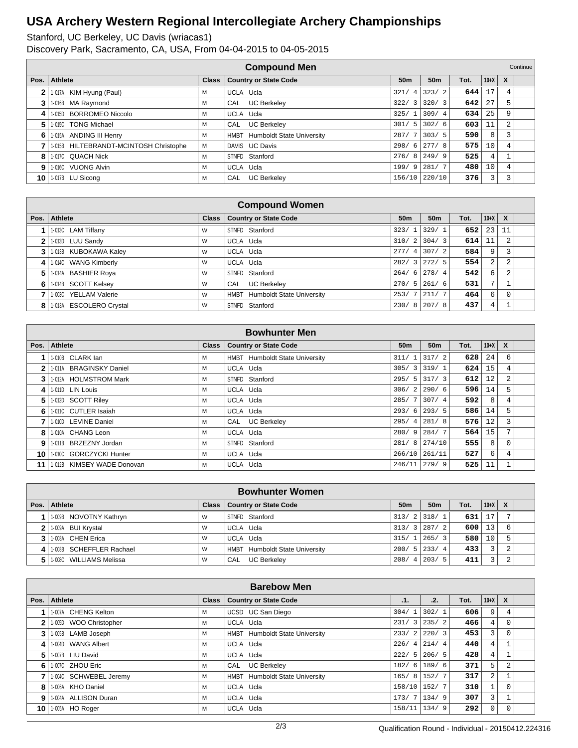|              | <b>Compound Men</b><br>Continue <sup>'</sup> |              |                                  |                        |                 |      |        |              |  |  |  |  |
|--------------|----------------------------------------------|--------------|----------------------------------|------------------------|-----------------|------|--------|--------------|--|--|--|--|
| Pos.         | Athlete                                      | <b>Class</b> | <b>Country or State Code</b>     | 50 <sub>m</sub>        | 50 <sub>m</sub> | Tot. | $10+X$ | $\mathbf{x}$ |  |  |  |  |
| $\mathbf{2}$ | 1-017A KIM Hyung (Paul)                      | м            | UCLA Ucla                        | 321/<br>4              | 323/2           | 644  | 17     | 4            |  |  |  |  |
| 3            | 1-016B MA Raymond                            | м            | <b>UC Berkeley</b><br>CAL        | 322/<br>$\overline{3}$ | 320/3           | 642  | 27     | 5.           |  |  |  |  |
| 4            | <b>BORROMEO Niccolo</b><br>1-015D            | м            | UCLA Ucla                        | 325/1                  | 309/4           | 634  | 25     | 9            |  |  |  |  |
| 5            | 1-015C TONG Michael                          | м            | <b>UC Berkeley</b><br><b>CAL</b> | 5 <sup>1</sup><br>301/ | 302/6           | 603  | 11     | 2            |  |  |  |  |
| 6            | 1-015A ANDING III Henry                      | м            | HMBT Humboldt State University   |                        | $287/7$ 303/5   | 590  | 8      |              |  |  |  |  |
| 7            | 1-015B HILTEBRANDT-MCINTOSH Christophe       | м            | DAVIS UC Davis                   |                        | $298/6$   277/8 | 575  | 10     | 4            |  |  |  |  |
| 8            | 1-017C QUACH Nick                            | м            | STNFD Stanford                   |                        | $276/8$   249/9 | 525  | 4      |              |  |  |  |  |
| 9            | 1-016C VUONG Alvin                           | м            | UCLA Ucla                        | 199/9                  | 281/7           | 480  | 10     | 4            |  |  |  |  |
| 10           | 1-017B LU Sicong                             | м            | <b>UC Berkeley</b><br>CAL        |                        | 156/10 220/10   | 376  |        |              |  |  |  |  |

|                | <b>Compound Women</b>   |              |                                          |                 |                  |      |              |                           |  |  |  |
|----------------|-------------------------|--------------|------------------------------------------|-----------------|------------------|------|--------------|---------------------------|--|--|--|
| Pos.           | Athlete                 | <b>Class</b> | <b>Country or State Code</b>             | 50 <sub>m</sub> | 50 <sub>m</sub>  | Tot. | $10+X$       | $\boldsymbol{\mathsf{x}}$ |  |  |  |
|                | 1-013C LAM Tiffany      | W            | STNFD Stanford                           | 323/1           | 329/1            | 652  | 23           | 11                        |  |  |  |
| 2 <sub>1</sub> | 1-013D LUU Sandy        | W            | UCLA Ucla                                |                 | $310/2$ 304/3    | 614  | 11           |                           |  |  |  |
| 3              | 1-013B KUBOKAWA Kaley   | W            | UCLA Ucla                                |                 | $277/4$ 307/2    | 584  | 9            |                           |  |  |  |
| 4              | 1-014C WANG Kimberly    | W            | UCLA Ucla                                |                 | $282/3$   272/ 5 | 554  | 2            |                           |  |  |  |
| 5.             | 1-014A BASHIER Roya     | W            | STNFD Stanford                           |                 | $264/6$   278/4  | 542  | 6            |                           |  |  |  |
| 6              | 1-014B SCOTT Kelsey     | W            | <b>UC Berkeley</b><br>CAL                |                 | $270/5$ 261/6    | 531  | $\mathbf{r}$ |                           |  |  |  |
|                | 1-003C YELLAM Valerie   | W            | <b>Humboldt State University</b><br>HMBT |                 | $253/7$   211/7  | 464  | 6            |                           |  |  |  |
| 8              | 1-013A ESCOLERO Crystal | W            | STNFD Stanford                           |                 | $230/8$   207/8  | 437  | 4            |                           |  |  |  |

|      | <b>Bowhunter Men</b>       |              |                                |                 |                                |      |        |              |  |  |  |
|------|----------------------------|--------------|--------------------------------|-----------------|--------------------------------|------|--------|--------------|--|--|--|
| Pos. | Athlete                    | <b>Class</b> | Country or State Code          | 50 <sub>m</sub> | 50m                            | Tot. | $10+X$ | $\mathsf{x}$ |  |  |  |
|      | 1-010B CLARK lan           | м            | HMBT Humboldt State University | 311/1           | $317/2$                        | 628  | 24     | 6            |  |  |  |
| 2    | 1-011A BRAGINSKY Daniel    | м            | UCLA Ucla                      |                 | $305/3$ 3 319/1                | 624  | 15     |              |  |  |  |
| 3    | 1-012A HOLMSTROM Mark      | м            | STNFD Stanford                 |                 | $295/5$ 317/3                  | 612  | 12     |              |  |  |  |
| 4    | 1-011D LIN Louis           | M            | UCLA Ucla                      | 306/2           | 290/6                          | 596  | 14     | 5            |  |  |  |
| 5    | 1-012D SCOTT Riley         | м            | UCLA Ucla                      | 285/7           | 307/4                          | 592  | 8      |              |  |  |  |
| 6.   | 1-0110 CUTLER Isaiah       | м            | UCLA Ucla                      | 293/6           | 293/5                          | 586  | 14     |              |  |  |  |
|      | 1-010D LEVINE Daniel       | м            | CAL UC Berkeley                | 295/4           | 281/8                          | 576  | 12     |              |  |  |  |
| 8    | 1-010A CHANG Leon          | М            | UCLA Ucla                      | 280/9           | 284/7                          | 564  | 15     |              |  |  |  |
| 9    | 1-011B BRZEZNY Jordan      | м            | STNFD Stanford                 |                 | 281/ 8   274/10                | 555  | 8      | $\Omega$     |  |  |  |
| 10   | 1-010C GORCZYCKI Hunter    | M            | UCLA Ucla                      | 266/10          | 261/11                         | 527  | 6      |              |  |  |  |
| 11   | 1-012B KIMSEY WADE Donovan | м            | UCLA Ucla                      | 246/11          | $\left  \frac{279}{9} \right $ | 525  | 11     |              |  |  |  |

|   | <b>Bowhunter Women</b>   |   |                                |                 |                 |      |        |   |  |  |  |  |  |
|---|--------------------------|---|--------------------------------|-----------------|-----------------|------|--------|---|--|--|--|--|--|
|   | Pos. Athlete             |   | Class   Country or State Code  | 50 <sub>m</sub> | 50 <sub>m</sub> | Tot. | $10+X$ | X |  |  |  |  |  |
|   | 1-009B NOVOTNY Kathryn   | W | STNFD Stanford                 | 313/2 318/1     |                 | 631  | 17     |   |  |  |  |  |  |
|   | $2$   1-009A BUI Krystal | W | UCLA Ucla                      |                 | $313/3$   287/2 | 600  | 13     |   |  |  |  |  |  |
|   | 3   1-008A CHEN Erica    | W | UCLA Ucla                      |                 | $315/1$   265/3 | 580  | 10     |   |  |  |  |  |  |
| 4 | 1008B SCHEFFLER Rachael  | W | HMBT Humboldt State University |                 | $200/5$   233/4 | 433  |        |   |  |  |  |  |  |
|   | 1.008C WILLIAMS Melissa  | W | <b>UC Berkelev</b><br>CAL      |                 | $208/4$   203/5 | 411  |        |   |  |  |  |  |  |

| <b>Barebow Men</b> |                        |              |                                |       |                  |      |                |              |  |  |  |  |
|--------------------|------------------------|--------------|--------------------------------|-------|------------------|------|----------------|--------------|--|--|--|--|
| Pos.               | Athlete                | <b>Class</b> | <b>Country or State Code</b>   | .1.   | .2.              | Tot. | $10+X$         | $\mathbf{x}$ |  |  |  |  |
|                    | 1-007A CHENG Kelton    | м            | UCSD UC San Diego              | 304/1 | 302/1            | 606  | 9              |              |  |  |  |  |
| $\mathbf{2}$       | 1-005D WOO Christopher | м            | UCLA Ucla                      |       | $231/3$   235/2  | 466  | 4              |              |  |  |  |  |
| 3                  | 1-005B LAMB Joseph     | м            | HMBT Humboldt State University | 233/2 | 220/3            | 453  | 3              |              |  |  |  |  |
| 4                  | 1-004D WANG Albert     | м            | UCLA Ucla                      | 226/4 | 214/4            | 440  | 4              |              |  |  |  |  |
| 5                  | 1-007B LIU David       | M            | UCLA Ucla                      | 222/5 | 206/5            | 428  | 4              |              |  |  |  |  |
| 6                  | 1-007C ZHOU Eric       | м            | <b>UC Berkeley</b><br>CAL      |       | $182/6$ 189/6    | 371  | 5              | 2            |  |  |  |  |
| 7                  | 1-004C SCHWEBEL Jeremy | M            | HMBT Humboldt State University |       | $165/8$   152/7  | 317  | $\overline{2}$ |              |  |  |  |  |
| 8                  | 1-006A KHO Daniel      | м            | UCLA Ucla                      |       | 158/10 152/7     | 310  |                |              |  |  |  |  |
| 9 <sup>1</sup>     | 1-004A ALLISON Duran   | м            | UCLA Ucla                      |       | $173/7$   134/9  | 307  | 3              |              |  |  |  |  |
| 10                 | 1-005A HO Roger        | м            | UCLA Ucla                      |       | $158/11$   134/9 | 292  | $\Omega$       |              |  |  |  |  |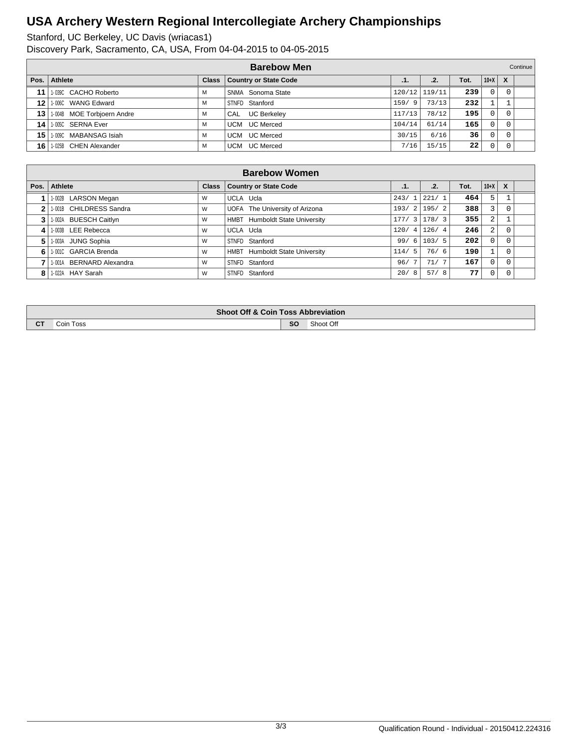Stanford, UC Berkeley, UC Davis (wriacas1)

Discovery Park, Sacramento, CA, USA, From 04-04-2015 to 04-05-2015

|      | <b>Barebow Men</b>            |   |                               |        |               |      |          | Continue |  |
|------|-------------------------------|---|-------------------------------|--------|---------------|------|----------|----------|--|
| Pos. | Athlete                       |   | Class   Country or State Code | .1.    | .2.           | Tot. | $10+X$   | X        |  |
|      | 11 1.0390 CACHO Roberto       | М | SNMA Sonoma State             |        | 120/12 119/11 | 239  | $\Omega$ | $\Omega$ |  |
|      | 12 1.006C WANG Edward         | М | STNFD Stanford                | 159/9  | 73/13         | 232  |          |          |  |
|      | 13 1.004B MOE Torbjoern Andre | М | CAL<br><b>UC Berkeley</b>     | 117/13 | 78/12         | 195  |          |          |  |
|      | 14   1-005C SERNA Ever        | М | <b>UC Merced</b><br>UCM       | 104/14 | 61/14         | 165  | $\Omega$ | $\Omega$ |  |
| 15 l | 1-009C MABANSAG Isiah         | М | UC Merced<br>UCM              | 30/15  | 6/16          | 36   |          | $\Omega$ |  |
| 16   | 1-025B CHEN Alexander         | М | <b>UC Merced</b><br>UCM       | 7/16   | 15/15         | 22   |          |          |  |

| <b>Barebow Women</b> |                          |              |                                          |              |                 |      |          |                           |  |  |  |  |
|----------------------|--------------------------|--------------|------------------------------------------|--------------|-----------------|------|----------|---------------------------|--|--|--|--|
| Pos.                 | Athlete                  | <b>Class</b> | <b>Country or State Code</b>             | .1.          | .2.             | Tot. | $10+X$   | $\boldsymbol{\mathsf{x}}$ |  |  |  |  |
|                      | 1-002B LARSON Megan      | W            | UCLA Ucla                                | 243/1        | 221/1           | 464  | 5        |                           |  |  |  |  |
| $\overline{2}$       | 1-001B CHILDRESS Sandra  | W            | UOFA The University of Arizona           |              | $193/2$   195/2 | 388  | 3        |                           |  |  |  |  |
| 3                    | 1-002A BUESCH Caitlyn    | W            | HMBT Humboldt State University           |              | $177/3$ 178/3   | 355  | 2        |                           |  |  |  |  |
| 4                    | 1-003B LEE Rebecca       | W            | UCLA Ucla                                | 120/4        | 126/4           | 246  | 2        |                           |  |  |  |  |
| 5                    | 1-003A JUNG Sophia       | W            | STNFD Stanford                           | - 6 I<br>99/ | 103/5           | 202  | 0        |                           |  |  |  |  |
| 6                    | 1-001C GARCIA Brenda     | W            | <b>Humboldt State University</b><br>HMBT | 114/5        | 76/<br>-6       | 190  |          |                           |  |  |  |  |
|                      | 1-001A BERNARD Alexandra | W            | STNFD Stanford                           | 96/          | 71/             | 167  | $\Omega$ |                           |  |  |  |  |
| 8                    | 1-022A HAY Sarah         | W            | STNFD Stanford                           | 20/<br>8     | 57/8            | 77   | $\Omega$ |                           |  |  |  |  |

|        | <b>Shoot Off &amp; Coin Toss Abbreviation</b> |    |           |  |  |  |  |  |  |  |
|--------|-----------------------------------------------|----|-----------|--|--|--|--|--|--|--|
| $\sim$ | Toss<br>Coin                                  | SO | Shoot Off |  |  |  |  |  |  |  |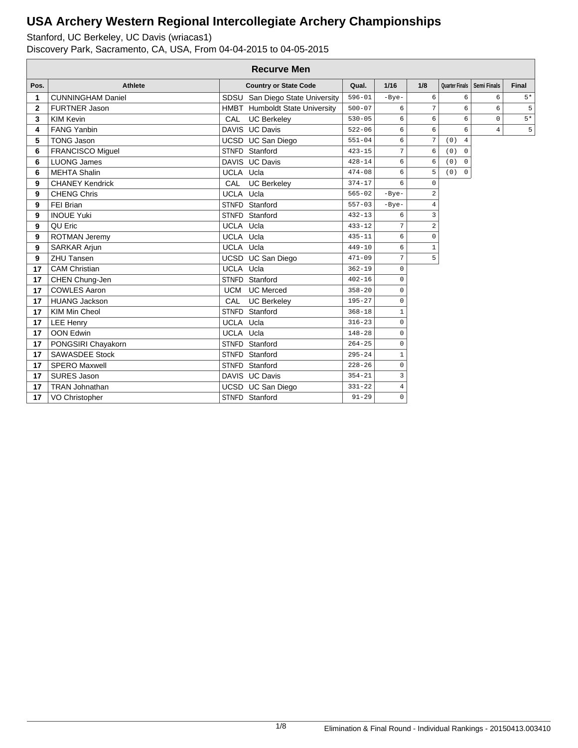|                | <b>Recurve Men</b>       |              |                                 |            |                |                     |                       |                              |              |  |  |  |
|----------------|--------------------------|--------------|---------------------------------|------------|----------------|---------------------|-----------------------|------------------------------|--------------|--|--|--|
| Pos.           | <b>Athlete</b>           |              | <b>Country or State Code</b>    | Qual.      | $1/16$         | 1/8                 |                       | Quarter Finals   Semi Finals | <b>Final</b> |  |  |  |
| 1              | <b>CUNNINGHAM Daniel</b> |              | SDSU San Diego State University | $596 - 01$ | $-Bye-$        | 6                   | 6                     | 6                            | $5*$         |  |  |  |
| $\overline{2}$ | <b>FURTNER Jason</b>     |              | HMBT Humboldt State University  | $500 - 07$ | 6              | $\overline{7}$      | 6                     | 6                            | 5            |  |  |  |
| 3              | <b>KIM Kevin</b>         | CAL          | <b>UC Berkeley</b>              | $530 - 05$ | 6              | 6                   | 6                     | $\mathbf 0$                  | $5*$         |  |  |  |
| 4              | <b>FANG Yanbin</b>       |              | DAVIS UC Davis                  | $522 - 06$ | 6              | 6                   | 6                     | $\overline{4}$               | 5            |  |  |  |
| 5              | <b>TONG Jason</b>        |              | UCSD UC San Diego               | $551 - 04$ | 6              | $\overline{7}$      | (0)<br>$\overline{4}$ |                              |              |  |  |  |
| 6              | <b>FRANCISCO Miguel</b>  |              | STNFD Stanford                  | $423 - 15$ | 7              | 6                   | (0)<br>$\mathbf 0$    |                              |              |  |  |  |
| 6              | <b>LUONG James</b>       |              | DAVIS UC Davis                  | $428 - 14$ | 6              | 6                   | (0)<br>$\mathbf 0$    |                              |              |  |  |  |
| 6              | <b>MEHTA Shalin</b>      | UCLA Ucla    |                                 | $474 - 08$ | 6              | 5                   | (0)<br>$\mathbf 0$    |                              |              |  |  |  |
| 9              | <b>CHANEY Kendrick</b>   | CAL          | <b>UC Berkeley</b>              | $374 - 17$ | 6              | $\mathbf 0$         |                       |                              |              |  |  |  |
| 9              | <b>CHENG Chris</b>       | UCLA Ucla    |                                 | $565 - 02$ | $-Bye-$        | $\overline{a}$      |                       |                              |              |  |  |  |
| 9              | FEI Brian                |              | STNFD Stanford                  | $557 - 03$ | $-Bye-$        | $\overline{4}$      |                       |                              |              |  |  |  |
| 9              | <b>INOUE Yuki</b>        |              | STNFD Stanford                  | $432 - 13$ | 6              | 3                   |                       |                              |              |  |  |  |
| 9              | QU Eric                  | UCLA Ucla    |                                 | $433 - 12$ | $\overline{7}$ | $\overline{a}$      |                       |                              |              |  |  |  |
| 9              | ROTMAN Jeremy            | UCLA Ucla    |                                 | $435 - 11$ | 6              | $\mathsf{O}\xspace$ |                       |                              |              |  |  |  |
| 9              | SARKAR Arjun             | UCLA Ucla    |                                 | $449 - 10$ | 6              | $\mathbf{1}$        |                       |                              |              |  |  |  |
| 9              | ZHU Tansen               |              | UCSD UC San Diego               | $471 - 09$ | 7              | 5                   |                       |                              |              |  |  |  |
| 17             | <b>CAM Christian</b>     | UCLA Ucla    |                                 | $362 - 19$ | 0              |                     |                       |                              |              |  |  |  |
| 17             | CHEN Chung-Jen           |              | STNFD Stanford                  | $402 - 16$ | $\Omega$       |                     |                       |                              |              |  |  |  |
| 17             | <b>COWLES Aaron</b>      | <b>UCM</b>   | <b>UC Merced</b>                | $358 - 20$ | 0              |                     |                       |                              |              |  |  |  |
| 17             | <b>HUANG Jackson</b>     | CAL          | <b>UC Berkeley</b>              | $195 - 27$ | 0              |                     |                       |                              |              |  |  |  |
| 17             | KIM Min Cheol            | <b>STNFD</b> | Stanford                        | $368 - 18$ | 1              |                     |                       |                              |              |  |  |  |
| 17             | <b>LEE Henry</b>         | UCLA Ucla    |                                 | $316 - 23$ | $\Omega$       |                     |                       |                              |              |  |  |  |
| 17             | <b>OON Edwin</b>         | UCLA Ucla    |                                 | $148 - 28$ | 0              |                     |                       |                              |              |  |  |  |
| 17             | PONGSIRI Chayakorn       |              | STNFD Stanford                  | $264 - 25$ | 0              |                     |                       |                              |              |  |  |  |
| 17             | <b>SAWASDEE Stock</b>    |              | STNFD Stanford                  | $295 - 24$ | $\mathbf{1}$   |                     |                       |                              |              |  |  |  |
| 17             | <b>SPERO Maxwell</b>     |              | STNFD Stanford                  | $228 - 26$ | 0              |                     |                       |                              |              |  |  |  |
| 17             | <b>SURES Jason</b>       |              | DAVIS UC Davis                  | $354 - 21$ | 3              |                     |                       |                              |              |  |  |  |
| 17             | <b>TRAN Johnathan</b>    |              | UCSD UC San Diego               | $331 - 22$ | $\overline{4}$ |                     |                       |                              |              |  |  |  |
| 17             | VO Christopher           |              | STNFD Stanford                  | $91 - 29$  | 0              |                     |                       |                              |              |  |  |  |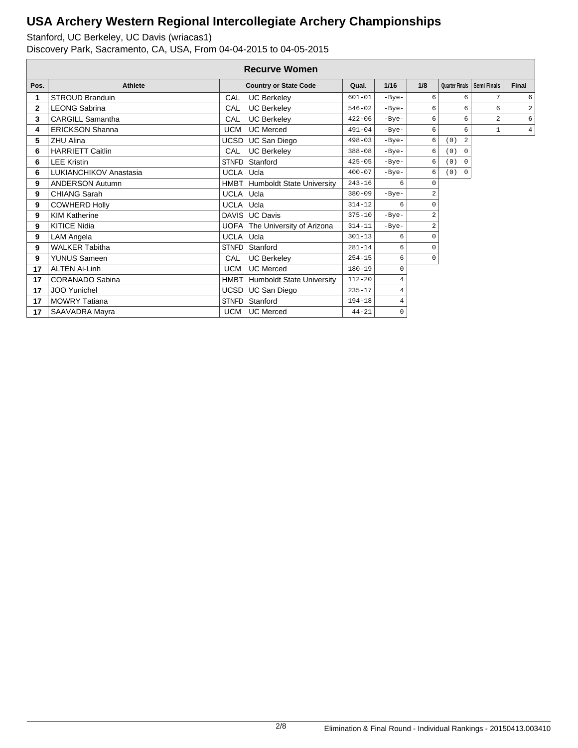|              | <b>Recurve Women</b>    |              |                                       |            |                |                |                    |                    |                |  |  |  |
|--------------|-------------------------|--------------|---------------------------------------|------------|----------------|----------------|--------------------|--------------------|----------------|--|--|--|
| Pos.         | <b>Athlete</b>          |              | <b>Country or State Code</b>          | Qual.      | $1/16$         | 1/8            | Quarter Finals     | <b>Semi Finals</b> | Final          |  |  |  |
|              | <b>STROUD Branduin</b>  | CAL          | <b>UC Berkeley</b>                    | $601 - 01$ | $-Bye-$        | 6              | 6                  | 7                  | 6              |  |  |  |
| $\mathbf{2}$ | <b>LEONG Sabrina</b>    | CAL          | <b>UC Berkeley</b>                    | $546 - 02$ | $-Bye-$        | 6              | 6                  | 6                  | $\mathfrak{D}$ |  |  |  |
| 3            | <b>CARGILL Samantha</b> | CAL          | <b>UC Berkeley</b>                    | $422 - 06$ | $-Bye-$        | 6              | 6                  | $\overline{a}$     | 6              |  |  |  |
| 4            | <b>ERICKSON Shanna</b>  | <b>UCM</b>   | <b>UC Merced</b>                      | $491 - 04$ | $-Bye-$        | 6              | 6                  | $\mathbf{1}$       | $\overline{4}$ |  |  |  |
| 5            | <b>ZHU Alina</b>        | <b>UCSD</b>  | <b>UC San Diego</b>                   | $498 - 03$ | $-Bye-$        | 6              | (0)<br>2           |                    |                |  |  |  |
| 6            | <b>HARRIETT Caitlin</b> | CAL          | <b>UC Berkeley</b>                    | $388 - 08$ | $-Bye-$        | 6              | (0)<br>$\mathbf 0$ |                    |                |  |  |  |
| 6            | <b>LEE Kristin</b>      | <b>STNFD</b> | Stanford                              | $425 - 05$ | $-Bye-$        | 6              | (0) 0              |                    |                |  |  |  |
| 6            | LUKIANCHIKOV Anastasia  | UCLA Ucla    |                                       | $400 - 07$ | $-Bye-$        | 6              | (0) 0              |                    |                |  |  |  |
| 9            | <b>ANDERSON Autumn</b>  |              | <b>HMBT</b> Humboldt State University | $243 - 16$ | 6              | 0              |                    |                    |                |  |  |  |
| 9            | <b>CHIANG Sarah</b>     | UCLA Ucla    |                                       | $380 - 09$ | $-Bye-$        | $\overline{a}$ |                    |                    |                |  |  |  |
| 9            | <b>COWHERD Holly</b>    | UCLA Ucla    |                                       | $314 - 12$ | 6              | 0              |                    |                    |                |  |  |  |
| 9            | <b>KIM Katherine</b>    |              | DAVIS UC Davis                        | $375 - 10$ | $-Bye-$        | $\overline{a}$ |                    |                    |                |  |  |  |
| 9            | <b>KITICE Nidia</b>     |              | UOFA The University of Arizona        | $314 - 11$ | $-Bye-$        | $\overline{a}$ |                    |                    |                |  |  |  |
| 9            | LAM Angela              | UCLA Ucla    |                                       | $301 - 13$ | 6              | 0              |                    |                    |                |  |  |  |
| 9            | <b>WALKER Tabitha</b>   | <b>STNFD</b> | Stanford                              | $281 - 14$ | 6              | 0              |                    |                    |                |  |  |  |
| 9            | <b>YUNUS Sameen</b>     | CAL          | <b>UC Berkeley</b>                    | $254 - 15$ | 6              | $\mathsf 0$    |                    |                    |                |  |  |  |
| 17           | <b>ALTEN Ai-Linh</b>    | <b>UCM</b>   | <b>UC Merced</b>                      | $180 - 19$ | 0              |                |                    |                    |                |  |  |  |
| 17           | CORANADO Sabina         | HMBT         | <b>Humboldt State University</b>      | $112 - 20$ | $\overline{4}$ |                |                    |                    |                |  |  |  |
| 17           | <b>JOO Yunichel</b>     |              | UCSD UC San Diego                     | $235 - 17$ | $\overline{4}$ |                |                    |                    |                |  |  |  |
| 17           | <b>MOWRY Tatiana</b>    | <b>STNFD</b> | Stanford                              | $194 - 18$ | $\overline{4}$ |                |                    |                    |                |  |  |  |
| 17           | SAAVADRA Mayra          | <b>UCM</b>   | <b>UC Merced</b>                      | $44 - 21$  | 0              |                |                    |                    |                |  |  |  |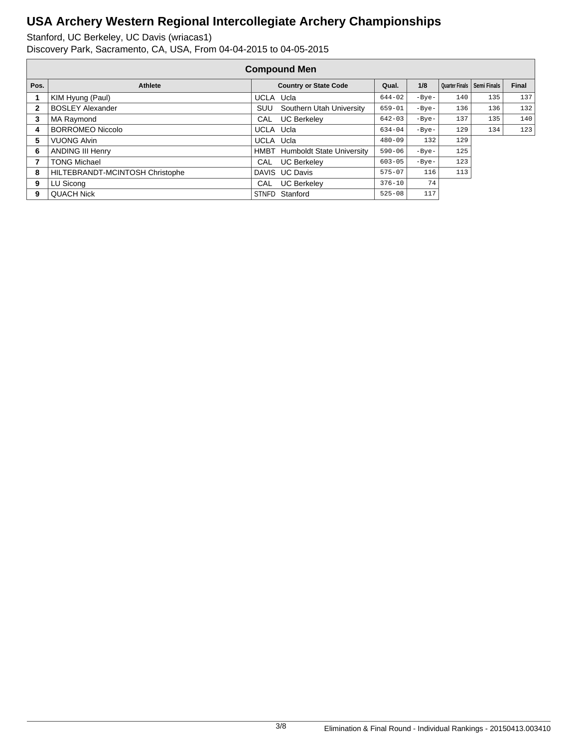|              | <b>Compound Men</b>             |           |                                       |            |         |                |             |              |  |  |  |
|--------------|---------------------------------|-----------|---------------------------------------|------------|---------|----------------|-------------|--------------|--|--|--|
| Pos.         | <b>Athlete</b>                  |           | <b>Country or State Code</b>          | Qual.      | 1/8     | Quarter Finals | Semi Finals | <b>Final</b> |  |  |  |
|              | KIM Hyung (Paul)                | UCLA Ucla |                                       | $644 - 02$ | $-Bye-$ | 140            | 135         | 137          |  |  |  |
| $\mathbf{2}$ | <b>BOSLEY Alexander</b>         | SUU       | Southern Utah University              | $659 - 01$ | $-Bye-$ | 136            | 136         | 132          |  |  |  |
| 3            | MA Raymond                      | CAL       | <b>UC Berkeley</b>                    | $642 - 03$ | $-Bye-$ | 137            | 135         | 140          |  |  |  |
| 4            | <b>BORROMEO Niccolo</b>         | UCLA Ucla |                                       | $634 - 04$ | $-Bye-$ | 129            | 134         | 123          |  |  |  |
| 5            | <b>VUONG Alvin</b>              | UCLA Ucla |                                       | $480 - 09$ | 132     | 129            |             |              |  |  |  |
| 6            | <b>ANDING III Henry</b>         |           | <b>HMBT</b> Humboldt State University | $590 - 06$ | $-Bye-$ | 125            |             |              |  |  |  |
|              | <b>TONG Michael</b>             | CAL       | <b>UC Berkeley</b>                    | $603 - 05$ | $-Bye-$ | 123            |             |              |  |  |  |
| 8            | HILTEBRANDT-MCINTOSH Christophe |           | DAVIS UC Davis                        | $575 - 07$ | 116     | 113            |             |              |  |  |  |
| 9            | LU Sicong                       |           | CAL UC Berkeley                       | $376 - 10$ | 74      |                |             |              |  |  |  |
| 9            | <b>QUACH Nick</b>               |           | STNFD Stanford                        | $525 - 08$ | 117     |                |             |              |  |  |  |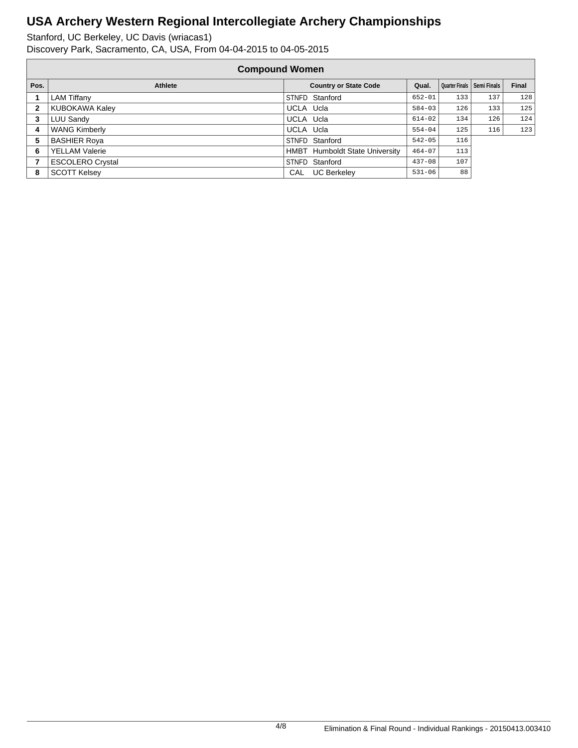|      | <b>Compound Women</b>   |           |                                       |            |     |                              |       |  |  |  |
|------|-------------------------|-----------|---------------------------------------|------------|-----|------------------------------|-------|--|--|--|
| Pos. | <b>Athlete</b>          |           | <b>Country or State Code</b>          | Qual.      |     | Quarter Finals   Semi Finals | Final |  |  |  |
|      | <b>LAM Tiffany</b>      |           | STNFD Stanford                        | $652 - 01$ | 133 | 137                          | 128   |  |  |  |
| 2    | KUBOKAWA Kaley          | UCLA Ucla |                                       | $584 - 03$ | 126 | 133                          | 125   |  |  |  |
| 3    | LUU Sandy               | UCLA Ucla |                                       | $614 - 02$ | 134 | 126                          | 124   |  |  |  |
| 4    | <b>WANG Kimberly</b>    | UCLA Ucla |                                       | $554 - 04$ | 125 | 116                          | 123   |  |  |  |
| 5    | <b>BASHIER Roya</b>     |           | STNFD Stanford                        | $542 - 05$ | 116 |                              |       |  |  |  |
| 6    | <b>YELLAM Valerie</b>   |           | <b>HMBT</b> Humboldt State University | $464 - 07$ | 113 |                              |       |  |  |  |
|      | <b>ESCOLERO Crystal</b> |           | STNFD Stanford                        | $437 - 08$ | 107 |                              |       |  |  |  |
| 8    | <b>SCOTT Kelsey</b>     | CAL       | <b>UC Berkeley</b>                    | $531 - 06$ | 88  |                              |       |  |  |  |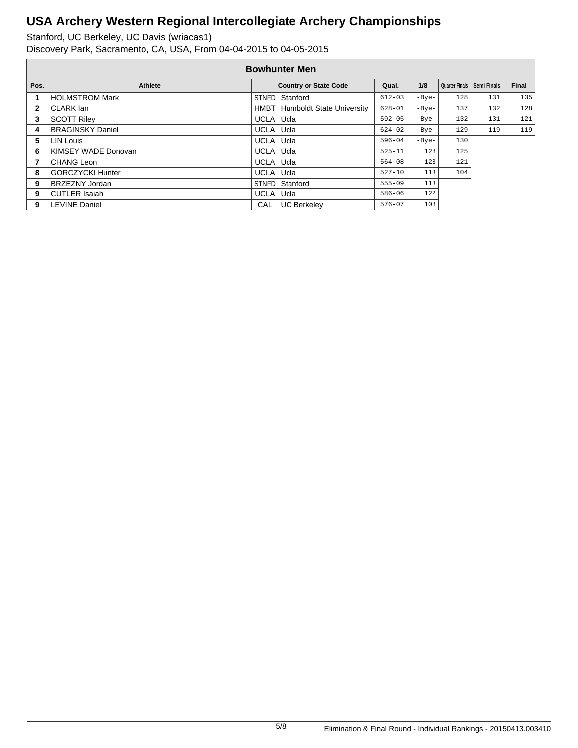|              | <b>Bowhunter Men</b>    |           |                                |            |         |                       |             |              |  |  |  |
|--------------|-------------------------|-----------|--------------------------------|------------|---------|-----------------------|-------------|--------------|--|--|--|
| Pos.         | <b>Athlete</b>          |           | <b>Country or State Code</b>   | Qual.      | 1/8     | <b>Quarter Finals</b> | Semi Finals | <b>Final</b> |  |  |  |
|              | <b>HOLMSTROM Mark</b>   |           | STNFD Stanford                 | $612 - 03$ | $-Bye-$ | 128                   | 131         | 135          |  |  |  |
| $\mathbf{2}$ | CLARK lan               |           | HMBT Humboldt State University | $628 - 01$ | $-Bye-$ | 137                   | 132         | 128          |  |  |  |
| 3            | <b>SCOTT Riley</b>      | UCLA Ucla |                                | $592 - 05$ | $-Bye-$ | 132                   | 131         | 121          |  |  |  |
| 4            | <b>BRAGINSKY Daniel</b> | UCLA Ucla |                                | $624 - 02$ | $-Bye-$ | 129                   | 119         | 119          |  |  |  |
| 5            | LIN Louis               | UCLA Ucla |                                | $596 - 04$ | $-Bye-$ | 130                   |             |              |  |  |  |
| 6            | KIMSEY WADE Donovan     | UCLA Ucla |                                | $525 - 11$ | 128     | 125                   |             |              |  |  |  |
| 7            | CHANG Leon              | UCLA Ucla |                                | $564 - 08$ | 123     | 121                   |             |              |  |  |  |
| 8            | <b>GORCZYCKI Hunter</b> | UCLA Ucla |                                | $527 - 10$ | 113     | 104                   |             |              |  |  |  |
| 9            | BRZEZNY Jordan          |           | STNFD Stanford                 | $555 - 09$ | 113     |                       |             |              |  |  |  |
| 9            | <b>CUTLER Isaiah</b>    | UCLA Ucla |                                | $586 - 06$ | 122     |                       |             |              |  |  |  |
| 9            | <b>LEVINE Daniel</b>    | CAL       | <b>UC Berkeley</b>             | $576 - 07$ | 108     |                       |             |              |  |  |  |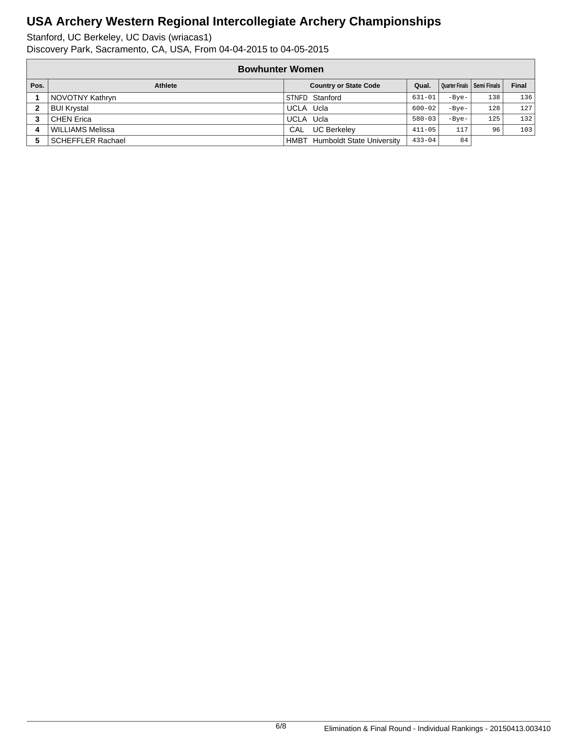|      | <b>Bowhunter Women</b>  |                                          |            |         |                              |              |  |  |  |  |  |
|------|-------------------------|------------------------------------------|------------|---------|------------------------------|--------------|--|--|--|--|--|
| Pos. | Athlete                 | <b>Country or State Code</b>             | Qual.      |         | Quarter Finals   Semi Finals | <b>Final</b> |  |  |  |  |  |
|      | NOVOTNY Kathryn         | STNFD Stanford                           | $631 - 01$ | $-Bye-$ | 138                          | 136          |  |  |  |  |  |
|      | <b>BUI Krystal</b>      | UCLA Ucla                                | $600 - 02$ | $-Bve-$ | 128                          | 127          |  |  |  |  |  |
|      | <b>CHEN Erica</b>       | UCLA Ucla                                | $580 - 03$ | $-Bve-$ | 125                          | 132          |  |  |  |  |  |
|      | <b>WILLIAMS Melissa</b> | <b>UC Berkelev</b><br>CAL                | $411 - 05$ | 117     | 96                           | 103          |  |  |  |  |  |
|      | SCHEFFLER Rachael       | <b>Humboldt State University</b><br>HMBT | $433 - 04$ | 84      |                              |              |  |  |  |  |  |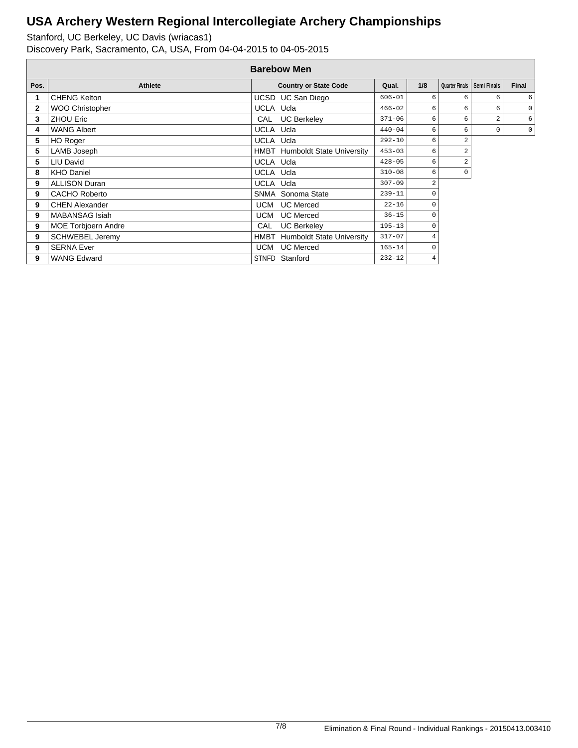|              | <b>Barebow Men</b>         |              |                                       |            |                |                       |                    |              |  |  |  |  |
|--------------|----------------------------|--------------|---------------------------------------|------------|----------------|-----------------------|--------------------|--------------|--|--|--|--|
| Pos.         | <b>Athlete</b>             |              | <b>Country or State Code</b>          | Qual.      | 1/8            | <b>Quarter Finals</b> | <b>Semi Finals</b> | <b>Final</b> |  |  |  |  |
|              | <b>CHENG Kelton</b>        |              | UCSD UC San Diego                     | $606 - 01$ | 6              | 6                     | 6                  | 6            |  |  |  |  |
| $\mathbf{2}$ | <b>WOO Christopher</b>     | UCLA Ucla    |                                       | $466 - 02$ | 6              | 6                     | 6                  | $\mathbf 0$  |  |  |  |  |
| 3            | <b>ZHOU Eric</b>           | CAL          | <b>UC Berkeley</b>                    | $371 - 06$ | 6              | 6                     | 2                  | 6            |  |  |  |  |
| 4            | <b>WANG Albert</b>         | UCLA Ucla    |                                       | $440 - 04$ | 6              | 6                     | 0                  | $\mathbf 0$  |  |  |  |  |
| 5            | <b>HO Roger</b>            | UCLA Ucla    |                                       | $292 - 10$ | 6              | 2                     |                    |              |  |  |  |  |
| 5            | LAMB Joseph                |              | <b>HMBT</b> Humboldt State University | $453 - 03$ | 6              | 2                     |                    |              |  |  |  |  |
| 5            | LIU David                  | UCLA Ucla    |                                       | $428 - 05$ | 6              | 2                     |                    |              |  |  |  |  |
| 8            | <b>KHO Daniel</b>          | UCLA Ucla    |                                       | $310 - 08$ | 6              | 0                     |                    |              |  |  |  |  |
| 9            | <b>ALLISON Duran</b>       | UCLA Ucla    |                                       | $307 - 09$ | $\overline{a}$ |                       |                    |              |  |  |  |  |
| 9            | <b>CACHO Roberto</b>       |              | SNMA Sonoma State                     | $239 - 11$ | 0              |                       |                    |              |  |  |  |  |
| 9            | <b>CHEN Alexander</b>      | UCM          | <b>UC Merced</b>                      | $22 - 16$  | 0              |                       |                    |              |  |  |  |  |
| 9            | <b>MABANSAG Isiah</b>      | UCM          | <b>UC</b> Merced                      | $36 - 15$  | 0              |                       |                    |              |  |  |  |  |
| 9            | <b>MOE Torbjoern Andre</b> | CAL          | <b>UC Berkeley</b>                    | $195 - 13$ | 0              |                       |                    |              |  |  |  |  |
| 9            | <b>SCHWEBEL Jeremy</b>     | HMBT         | <b>Humboldt State University</b>      | $317 - 07$ | 4              |                       |                    |              |  |  |  |  |
| 9            | <b>SERNA Ever</b>          | UCM          | <b>UC</b> Merced                      | $165 - 14$ | 0              |                       |                    |              |  |  |  |  |
| 9            | <b>WANG Edward</b>         | <b>STNFD</b> | Stanford                              | $232 - 12$ | $\overline{4}$ |                       |                    |              |  |  |  |  |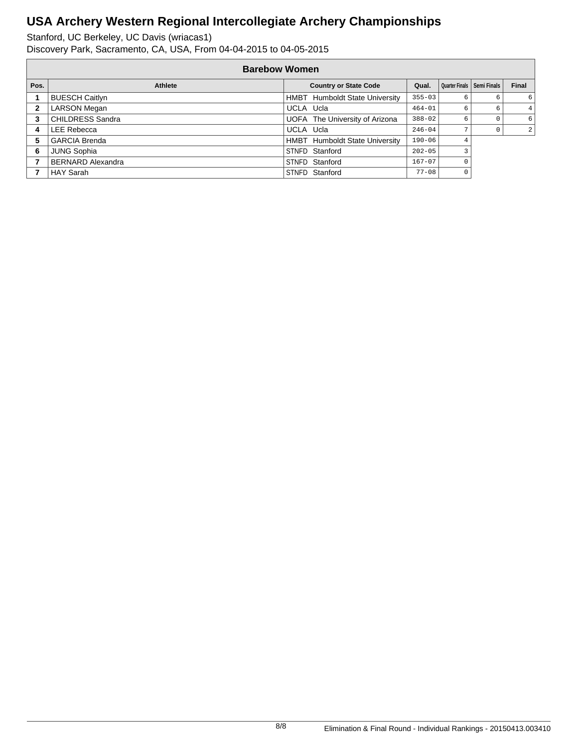|      | <b>Barebow Women</b>     |                                |            |                              |   |       |  |  |  |  |
|------|--------------------------|--------------------------------|------------|------------------------------|---|-------|--|--|--|--|
| Pos. | Athlete                  | <b>Country or State Code</b>   | Qual.      | Quarter Finals   Semi Finals |   | Final |  |  |  |  |
|      | <b>BUESCH Caitlyn</b>    | HMBT Humboldt State University | $355 - 03$ | 6                            | 6 | 6     |  |  |  |  |
| 2    | <b>LARSON Megan</b>      | UCLA Ucla                      | $464 - 01$ | 6                            | 6 | 4     |  |  |  |  |
| 3    | <b>CHILDRESS Sandra</b>  | UOFA The University of Arizona | $388 - 02$ |                              |   | 6     |  |  |  |  |
| 4    | LEE Rebecca              | UCLA Ucla                      | $246 - 04$ |                              |   | 2     |  |  |  |  |
| 5    | <b>GARCIA Brenda</b>     | HMBT Humboldt State University | $190 - 06$ | 4                            |   |       |  |  |  |  |
| 6    | <b>JUNG Sophia</b>       | STNFD Stanford                 | $202 - 05$ |                              |   |       |  |  |  |  |
|      | <b>BERNARD Alexandra</b> | STNFD Stanford                 | $167 - 07$ |                              |   |       |  |  |  |  |
|      | <b>HAY Sarah</b>         | STNFD Stanford                 | $77 - 08$  |                              |   |       |  |  |  |  |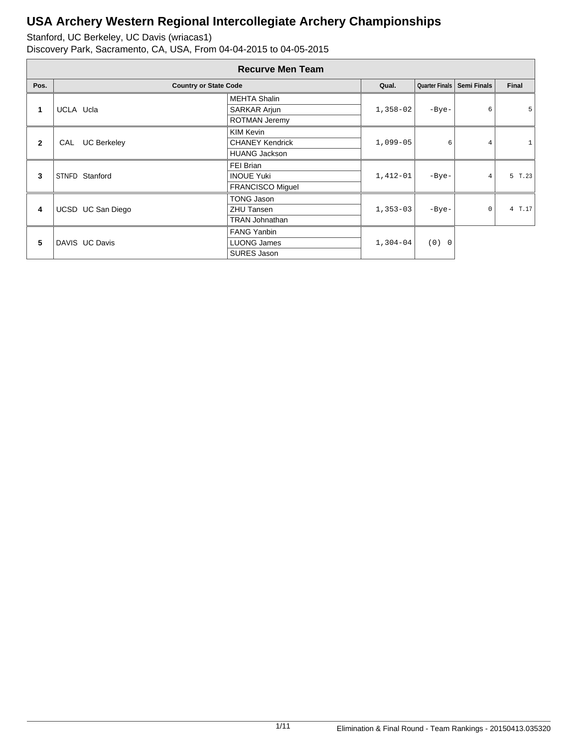|              | <b>Recurve Men Team</b>      |                         |            |         |                              |        |  |  |  |  |
|--------------|------------------------------|-------------------------|------------|---------|------------------------------|--------|--|--|--|--|
| Pos.         | <b>Country or State Code</b> |                         | Qual.      |         | Quarter Finals   Semi Finals | Final  |  |  |  |  |
|              |                              | <b>MEHTA Shalin</b>     |            |         |                              |        |  |  |  |  |
| 1            | UCLA Ucla                    | <b>SARKAR Arjun</b>     | $1,358-02$ | $-Bye-$ | 6                            | 5      |  |  |  |  |
|              |                              | <b>ROTMAN Jeremy</b>    |            |         |                              |        |  |  |  |  |
| $\mathbf{2}$ |                              | <b>KIM Kevin</b>        |            | 6       |                              |        |  |  |  |  |
|              | <b>UC Berkeley</b><br>CAL    | <b>CHANEY Kendrick</b>  | $1,099-05$ |         |                              |        |  |  |  |  |
|              |                              | <b>HUANG Jackson</b>    |            |         |                              |        |  |  |  |  |
|              | STNFD Stanford               | FEI Brian               | $1,412-01$ | $-Bye-$ |                              |        |  |  |  |  |
| 3            |                              | <b>INOUE Yuki</b>       |            |         | $\overline{4}$               | 5 T.23 |  |  |  |  |
|              |                              | <b>FRANCISCO Miquel</b> |            |         |                              |        |  |  |  |  |
|              |                              | TONG Jason              |            |         |                              |        |  |  |  |  |
| 4            | UCSD UC San Diego            | <b>ZHU Tansen</b>       | $1,353-03$ | $-Bye-$ | $\mathbf 0$                  | 4 T.17 |  |  |  |  |
|              |                              | <b>TRAN Johnathan</b>   |            |         |                              |        |  |  |  |  |
|              |                              | <b>FANG Yanbin</b>      |            |         |                              |        |  |  |  |  |
| 5            | DAVIS UC Davis               | <b>LUONG James</b>      | $1,304-04$ | (0) 0   |                              |        |  |  |  |  |
|              |                              | SURES Jason             |            |         |                              |        |  |  |  |  |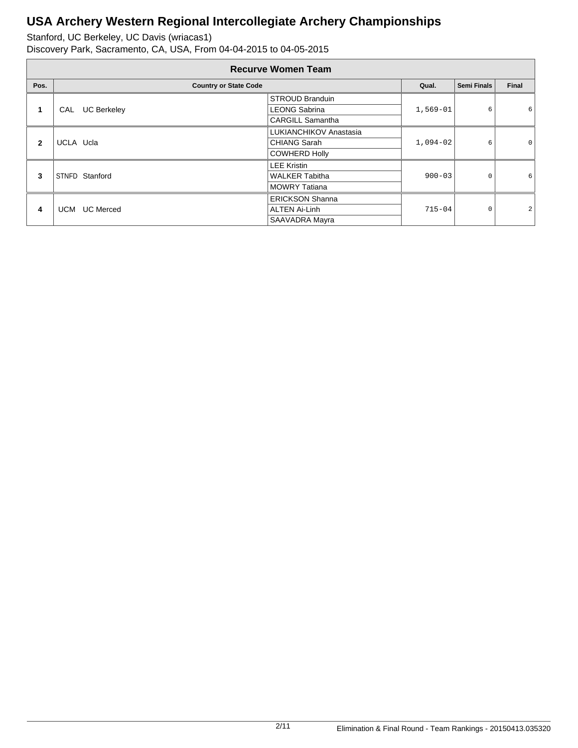|              | <b>Recurve Women Team</b>    |                         |            |                    |                |  |  |  |  |  |
|--------------|------------------------------|-------------------------|------------|--------------------|----------------|--|--|--|--|--|
| Pos.         | <b>Country or State Code</b> |                         | Qual.      | <b>Semi Finals</b> | Final          |  |  |  |  |  |
| 1            |                              | <b>STROUD Branduin</b>  |            |                    |                |  |  |  |  |  |
|              | <b>UC Berkeley</b><br>CAL    | <b>LEONG Sabrina</b>    | $1,569-01$ | 6                  | 6              |  |  |  |  |  |
|              |                              | <b>CARGILL Samantha</b> |            |                    |                |  |  |  |  |  |
|              |                              | LUKIANCHIKOV Anastasia  | $1,094-02$ | 6                  |                |  |  |  |  |  |
| $\mathbf{2}$ | UCLA Ucla                    | <b>CHIANG Sarah</b>     |            |                    | 0              |  |  |  |  |  |
|              |                              | <b>COWHERD Holly</b>    |            |                    |                |  |  |  |  |  |
|              |                              | <b>LEE Kristin</b>      |            |                    |                |  |  |  |  |  |
| 3            | STNFD Stanford               | <b>WALKER Tabitha</b>   | $900 - 03$ | 0                  | 6              |  |  |  |  |  |
|              |                              | <b>MOWRY Tatiana</b>    |            |                    |                |  |  |  |  |  |
|              |                              | <b>ERICKSON Shanna</b>  |            |                    |                |  |  |  |  |  |
| 4            | <b>UC Merced</b><br>UCM      | <b>ALTEN Ai-Linh</b>    | $715 - 04$ | 0                  | $\overline{a}$ |  |  |  |  |  |
|              |                              | SAAVADRA Mayra          |            |                    |                |  |  |  |  |  |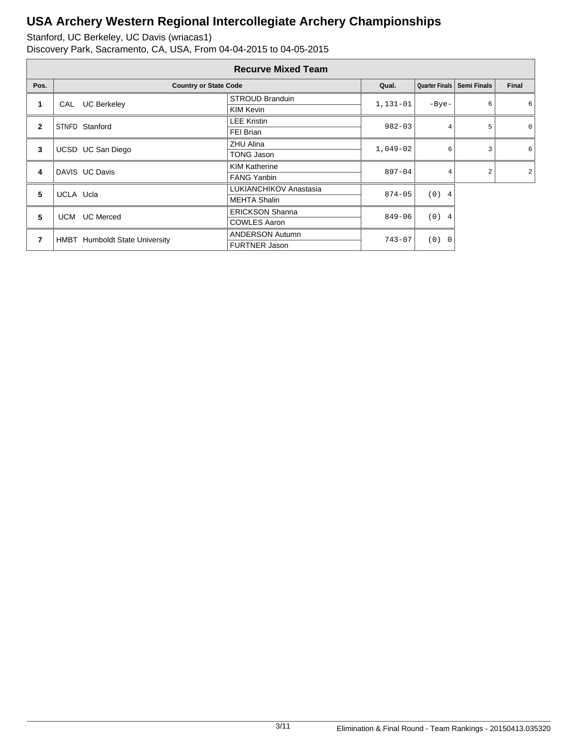|              | <b>Recurve Mixed Team</b>             |                        |            |                       |                              |                |   |   |         |
|--------------|---------------------------------------|------------------------|------------|-----------------------|------------------------------|----------------|---|---|---------|
| Pos.         | <b>Country or State Code</b>          |                        | Qual.      |                       | Quarter Finals   Semi Finals | Final          |   |   |         |
| 1            | <b>UC Berkeley</b><br>CAL             | <b>STROUD Branduin</b> | 1,131-01   | $-Bye-$               | 6                            | 6              |   |   |         |
|              |                                       | KIM Kevin              |            |                       |                              |                |   |   |         |
| $\mathbf{2}$ | STNFD Stanford                        | <b>LEE Kristin</b>     | $982 - 03$ |                       |                              |                | 4 | 5 | $\circ$ |
|              |                                       | FEI Brian              |            |                       |                              |                |   |   |         |
| 3            | UCSD UC San Diego                     | <b>ZHU Alina</b>       | $1,049-02$ | 6                     | 3                            | 6              |   |   |         |
|              |                                       | TONG Jason             |            |                       |                              |                |   |   |         |
| 4            | DAVIS UC Davis                        | <b>KIM Katherine</b>   | $897 - 04$ | 4                     | $\overline{2}$               | $\overline{a}$ |   |   |         |
|              |                                       | <b>FANG Yanbin</b>     |            |                       |                              |                |   |   |         |
| 5            | UCLA Ucla                             | LUKIANCHIKOV Anastasia | $874 - 05$ | (0)<br>$\overline{4}$ |                              |                |   |   |         |
|              |                                       | <b>MEHTA Shalin</b>    |            |                       |                              |                |   |   |         |
| 5            | <b>UC</b> Merced<br>UCM               | <b>ERICKSON Shanna</b> | $849 - 06$ | (0) 4                 |                              |                |   |   |         |
|              |                                       | <b>COWLES Aaron</b>    |            |                       |                              |                |   |   |         |
| 7            |                                       | <b>ANDERSON Autumn</b> | $743 - 07$ | (0)<br>$\overline{0}$ |                              |                |   |   |         |
|              | <b>HMBT</b> Humboldt State University | <b>FURTNER Jason</b>   |            |                       |                              |                |   |   |         |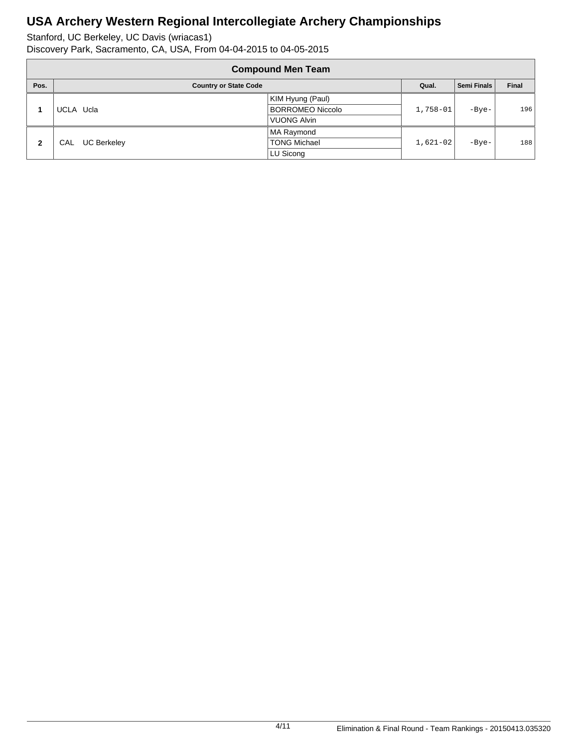|      | <b>Compound Men Team</b>     |                    |                         |            |             |       |  |  |  |  |
|------|------------------------------|--------------------|-------------------------|------------|-------------|-------|--|--|--|--|
| Pos. | <b>Country or State Code</b> |                    |                         |            | Semi Finals | Final |  |  |  |  |
|      |                              |                    | KIM Hyung (Paul)        | $1,758-01$ | $-Bye-$     | 196   |  |  |  |  |
|      |                              | UCLA Ucla          | <b>BORROMEO Niccolo</b> |            |             |       |  |  |  |  |
|      |                              |                    | <b>VUONG Alvin</b>      |            |             |       |  |  |  |  |
|      |                              |                    | <b>MA Raymond</b>       |            |             |       |  |  |  |  |
| 2    | CAL.                         | <b>UC Berkeley</b> | <b>TONG Michael</b>     | $1,621-02$ | $-Bye-$     | 188   |  |  |  |  |
|      |                              |                    | LU Sicong               |            |             |       |  |  |  |  |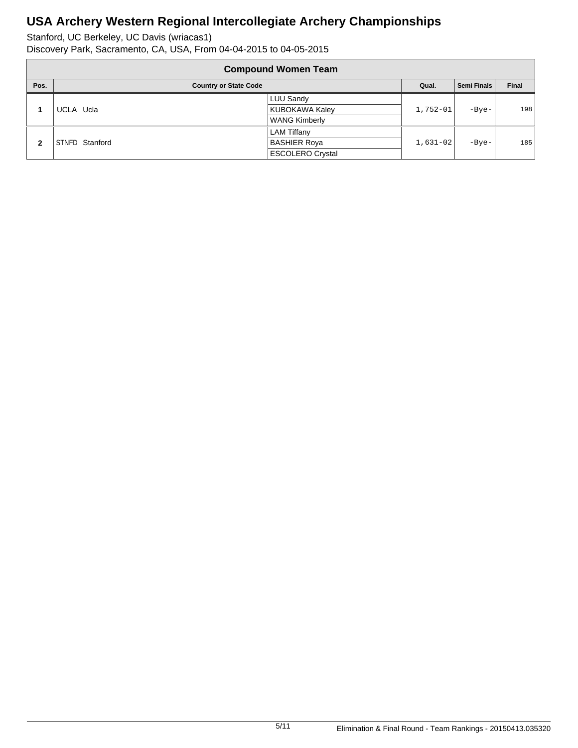|              | <b>Compound Women Team</b>   |                         |            |             |       |  |  |  |  |  |
|--------------|------------------------------|-------------------------|------------|-------------|-------|--|--|--|--|--|
| Pos.         | <b>Country or State Code</b> |                         | Qual.      | Semi Finals | Final |  |  |  |  |  |
|              | LUU Sandy                    |                         | $1,752-01$ | $-Bye-$     | 198   |  |  |  |  |  |
|              | UCLA Ucla                    | <b>KUBOKAWA Kaley</b>   |            |             |       |  |  |  |  |  |
|              |                              | <b>WANG Kimberly</b>    |            |             |       |  |  |  |  |  |
|              |                              | <b>LAM Tiffany</b>      |            |             |       |  |  |  |  |  |
| $\mathbf{2}$ | STNFD Stanford               | <b>BASHIER Roya</b>     | $1,631-02$ | $-Bye-$     | 185   |  |  |  |  |  |
|              |                              | <b>ESCOLERO Crystal</b> |            |             |       |  |  |  |  |  |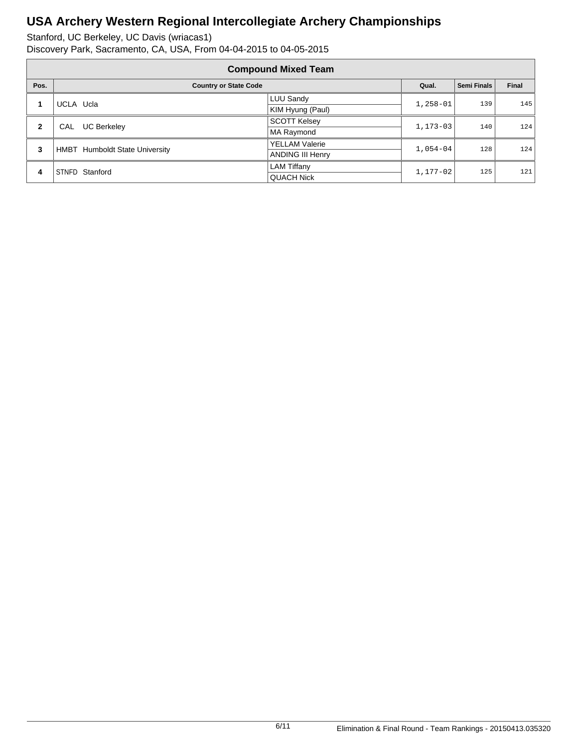| <b>Compound Mixed Team</b> |                                       |                         |              |                    |       |  |
|----------------------------|---------------------------------------|-------------------------|--------------|--------------------|-------|--|
| Pos.                       | <b>Country or State Code</b>          |                         | Qual.        | <b>Semi Finals</b> | Final |  |
| 1                          | UCLA Ucla                             | LUU Sandy               | $1,258-01$   | 139                | 145   |  |
|                            |                                       | KIM Hyung (Paul)        |              |                    |       |  |
| $\mathbf{2}$               | <b>UC Berkeley</b><br><b>CAL</b>      | <b>SCOTT Kelsey</b>     | $1.173 - 03$ | 140                | 124   |  |
|                            |                                       | MA Raymond              |              |                    |       |  |
| 3                          | <b>HMBT</b> Humboldt State University | <b>YELLAM Valerie</b>   | $1.054 - 04$ | 128                | 124   |  |
|                            |                                       | <b>ANDING III Henry</b> |              |                    |       |  |
| 4                          | STNFD Stanford                        | <b>LAM Tiffany</b>      | $1.177 - 02$ | 125                | 121   |  |
|                            |                                       | <b>QUACH Nick</b>       |              |                    |       |  |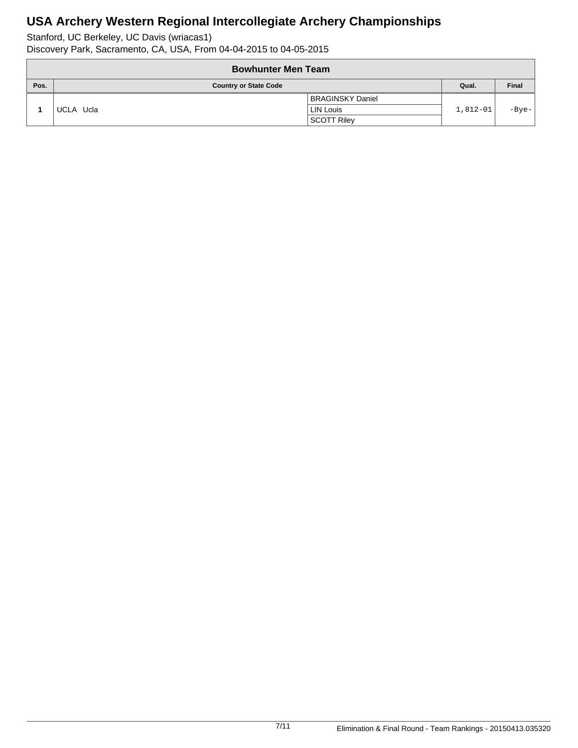| <b>Bowhunter Men Team</b> |                              |                         |            |       |  |
|---------------------------|------------------------------|-------------------------|------------|-------|--|
| Pos.                      | <b>Country or State Code</b> |                         | Qual.      | Final |  |
|                           |                              | <b>BRAGINSKY Daniel</b> | $1,812-01$ | -Bye- |  |
|                           | UCLA Ucla                    | <b>LIN Louis</b>        |            |       |  |
|                           |                              | <b>SCOTT Riley</b>      |            |       |  |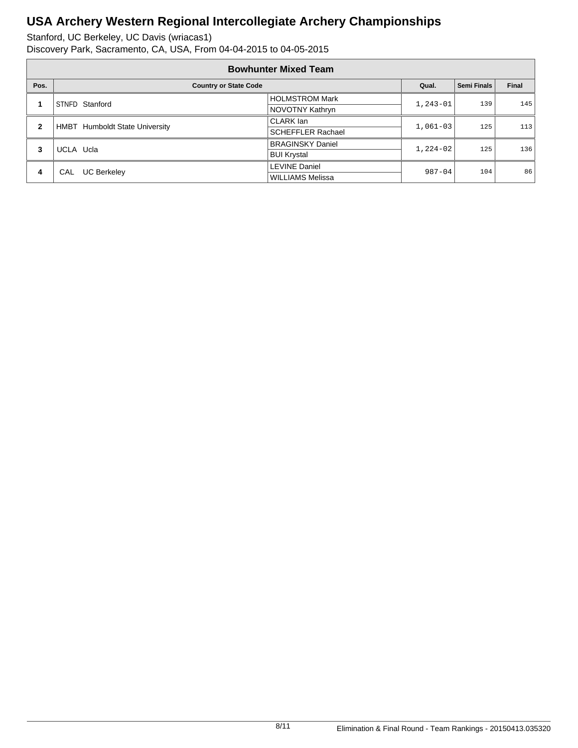| <b>Bowhunter Mixed Team</b> |                                       |                          |            |                    |       |  |
|-----------------------------|---------------------------------------|--------------------------|------------|--------------------|-------|--|
| Pos.                        | <b>Country or State Code</b>          |                          | Qual.      | <b>Semi Finals</b> | Final |  |
| 1                           | STNFD Stanford                        | <b>HOLMSTROM Mark</b>    | $1,243-01$ | 139                | 145   |  |
|                             |                                       | NOVOTNY Kathryn          |            |                    |       |  |
| $\mathbf{2}$                | <b>HMBT</b> Humboldt State University | CLARK lan                | $1,061-03$ | 125                | 113   |  |
|                             |                                       | <b>SCHEFFLER Rachael</b> |            |                    |       |  |
| 3                           | UCLA Ucla                             | <b>BRAGINSKY Daniel</b>  | $1,224-02$ | 125                | 136   |  |
|                             |                                       | <b>BUI Krystal</b>       |            |                    |       |  |
| 4                           | <b>UC Berkeley</b><br><b>CAL</b>      | <b>LEVINE Daniel</b>     | $987 - 04$ | 104                | 86    |  |
|                             |                                       | <b>WILLIAMS Melissa</b>  |            |                    |       |  |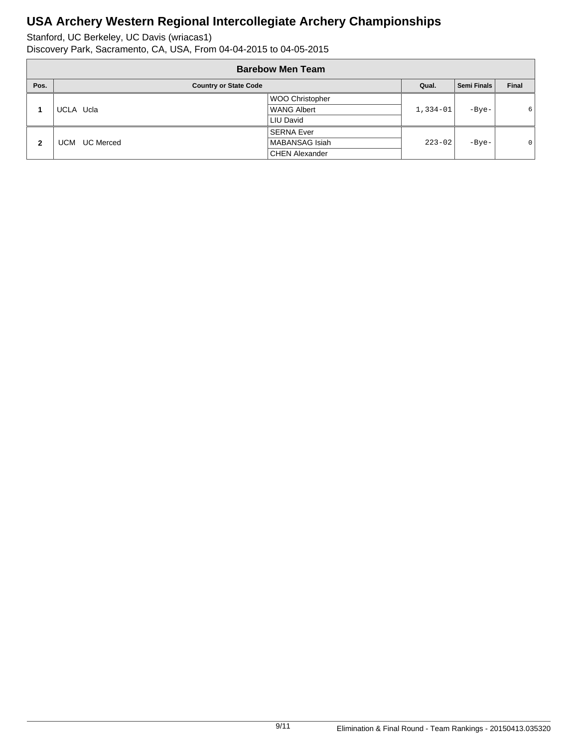| <b>Barebow Men Team</b>              |                         |                        |             |         |                |  |
|--------------------------------------|-------------------------|------------------------|-------------|---------|----------------|--|
| Pos.<br><b>Country or State Code</b> |                         | Qual.                  | Semi Finals | Final   |                |  |
|                                      |                         | <b>WOO Christopher</b> |             |         |                |  |
|                                      | UCLA Ucla               | <b>WANG Albert</b>     | 1,334-01    | $-Bye-$ | 6              |  |
|                                      |                         | LIU David              |             |         |                |  |
| $\mathbf{2}$                         |                         | <b>SERNA Ever</b>      |             |         |                |  |
|                                      | <b>UC</b> Merced<br>UCM | MABANSAG Isiah         | $223 - 02$  | $-Bye-$ | $\overline{0}$ |  |
|                                      |                         | <b>CHEN Alexander</b>  |             |         |                |  |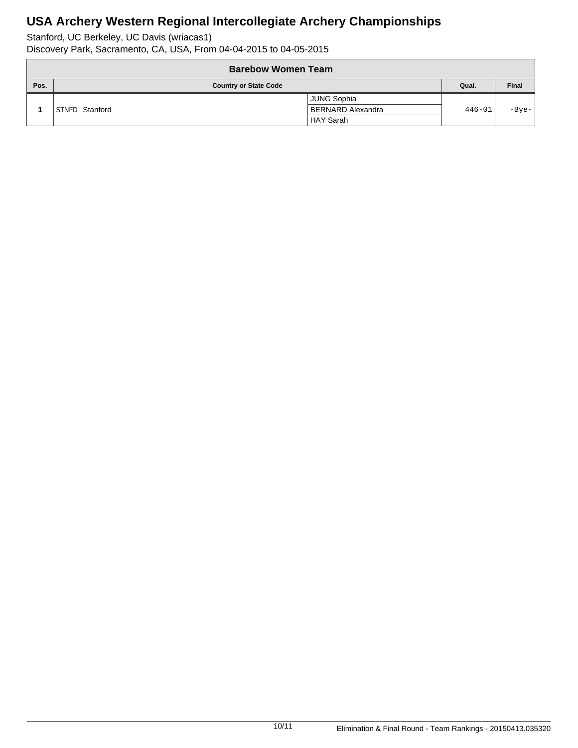Stanford, UC Berkeley, UC Davis (wriacas1)

Discovery Park, Sacramento, CA, USA, From 04-04-2015 to 04-05-2015

|      | <b>Barebow Women Team</b>    |                    |            |              |  |  |
|------|------------------------------|--------------------|------------|--------------|--|--|
| Pos. | <b>Country or State Code</b> |                    | Qual.      | <b>Final</b> |  |  |
|      |                              | <b>JUNG Sophia</b> | $446 - 01$ | -Bye-        |  |  |
|      | STNFD Stanford               | BERNARD Alexandra  |            |              |  |  |
|      |                              | <b>HAY Sarah</b>   |            |              |  |  |